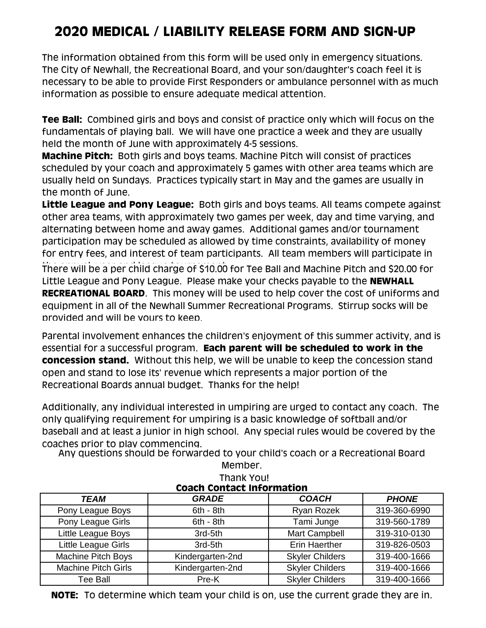## **2020 MEDICAL / LIABILITY RELEASE FORM AND SIGN-UP**

The information obtained from this form will be used only in emergency situations. The City of Newhall, the Recreational Board, and your son/daughter's coach feel it is necessary to be able to provide First Responders or ambulance personnel with as much information as possible to ensure adequate medical attention.

**Tee Ball:** Combined girls and boys and consist of practice only which will focus on the fundamentals of playing ball. We will have one practice a week and they are usually held the month of June with approximately 4-5 sessions.

**Machine Pitch:** Both girls and boys teams. Machine Pitch will consist of practices scheduled by your coach and approximately 5 games with other area teams which are usually held on Sundays. Practices typically start in May and the games are usually in the month of June.

**Little League and Pony League:** Both girls and boys teams. All teams compete against other area teams, with approximately two games per week, day and time varying, and alternating between home and away games. Additional games and/or tournament participation may be scheduled as allowed by time constraints, availability of money for entry fees, and interest of team participants. All team members will participate in There will be a per child charge of \$10.00 for Tee Ball and Machine Pitch and \$20.00 for Little League and Pony League. Please make your checks payable to the **NEWHALL RECREATIONAL BOARD**. This money will be used to help cover the cost of uniforms and equipment in all of the Newhall Summer Recreational Programs. Stirrup socks will be provided and will be yours to keep.

Parental involvement enhances the children's enjoyment of this summer activity, and is essential for a successful program. **Each parent will be scheduled to work in the concession stand.** Without this help, we will be unable to keep the concession stand open and stand to lose its' revenue which represents a major portion of the Recreational Boards annual budget. Thanks for the help!

Additionally, any individual interested in umpiring are urged to contact any coach. The only qualifying requirement for umpiring is a basic knowledge of softball and/or baseball and at least a junior in high school. Any special rules would be covered by the coaches prior to play commencing.

Any questions should be forwarded to your child's coach or a Recreational Board Member.

| Thank You!<br><b>Coach Contact Information</b> |                  |                        |              |  |  |  |  |  |  |  |
|------------------------------------------------|------------------|------------------------|--------------|--|--|--|--|--|--|--|
| TEAM                                           | <b>GRADE</b>     | <b>COACH</b>           | <b>PHONE</b> |  |  |  |  |  |  |  |
| Pony League Boys                               | $6th - 8th$      | Ryan Rozek             | 319-360-6990 |  |  |  |  |  |  |  |
| Pony League Girls                              | $6th - 8th$      | Tami Junge             | 319-560-1789 |  |  |  |  |  |  |  |
| Little League Boys                             | 3rd-5th          | Mart Campbell          | 319-310-0130 |  |  |  |  |  |  |  |
| Little League Girls                            | 3rd-5th          | <b>Erin Haerther</b>   | 319-826-0503 |  |  |  |  |  |  |  |
| Machine Pitch Boys                             | Kindergarten-2nd |                        | 319-400-1666 |  |  |  |  |  |  |  |
| <b>Machine Pitch Girls</b>                     | Kindergarten-2nd |                        | 319-400-1666 |  |  |  |  |  |  |  |
| Tee Ball                                       | Pre-K            | <b>Skyler Childers</b> | 319-400-1666 |  |  |  |  |  |  |  |

**NOTE:** To determine which team your child is on, use the current grade they are in.